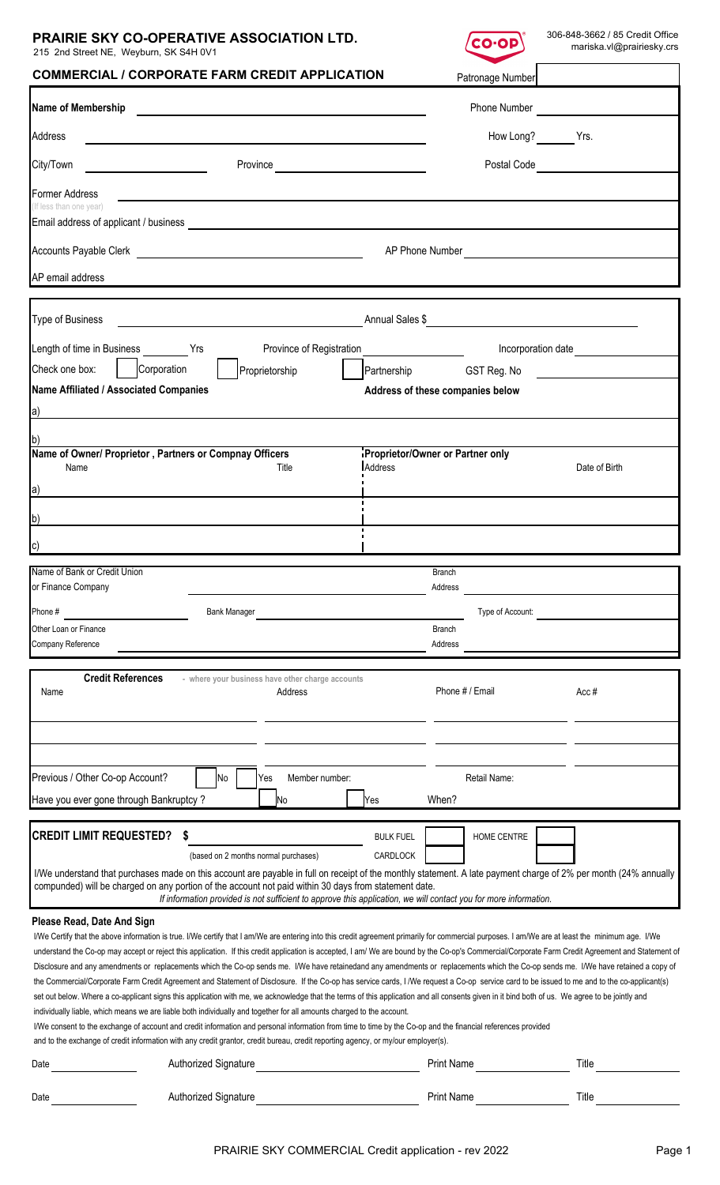# **PRAIRIE SKY CO-OPERATIVE ASSOCIATION LTD.**

215 2nd Street NE, Weyburn, SK S4H 0V1



| <b>COMMERCIAL / CORPORATE FARM CREDIT APPLICATION</b>                                                                                                                                                                                                                                                                                                                                                                                                                                                                                                                                                                                                                                                                                                                                                                                                                                                                                                                                                                                                                                                                                                                                                                                                                                                                                                                                                                                                     | Patronage Number                                 |
|-----------------------------------------------------------------------------------------------------------------------------------------------------------------------------------------------------------------------------------------------------------------------------------------------------------------------------------------------------------------------------------------------------------------------------------------------------------------------------------------------------------------------------------------------------------------------------------------------------------------------------------------------------------------------------------------------------------------------------------------------------------------------------------------------------------------------------------------------------------------------------------------------------------------------------------------------------------------------------------------------------------------------------------------------------------------------------------------------------------------------------------------------------------------------------------------------------------------------------------------------------------------------------------------------------------------------------------------------------------------------------------------------------------------------------------------------------------|--------------------------------------------------|
| Name of Membership                                                                                                                                                                                                                                                                                                                                                                                                                                                                                                                                                                                                                                                                                                                                                                                                                                                                                                                                                                                                                                                                                                                                                                                                                                                                                                                                                                                                                                        | <b>Phone Number</b>                              |
| Address                                                                                                                                                                                                                                                                                                                                                                                                                                                                                                                                                                                                                                                                                                                                                                                                                                                                                                                                                                                                                                                                                                                                                                                                                                                                                                                                                                                                                                                   | How Long? Yrs.                                   |
| City/Town<br><u> Alexandria de la contrada de la con</u>                                                                                                                                                                                                                                                                                                                                                                                                                                                                                                                                                                                                                                                                                                                                                                                                                                                                                                                                                                                                                                                                                                                                                                                                                                                                                                                                                                                                  | Postal Code                                      |
| <b>Former Address</b>                                                                                                                                                                                                                                                                                                                                                                                                                                                                                                                                                                                                                                                                                                                                                                                                                                                                                                                                                                                                                                                                                                                                                                                                                                                                                                                                                                                                                                     |                                                  |
| (If less than one year)                                                                                                                                                                                                                                                                                                                                                                                                                                                                                                                                                                                                                                                                                                                                                                                                                                                                                                                                                                                                                                                                                                                                                                                                                                                                                                                                                                                                                                   |                                                  |
|                                                                                                                                                                                                                                                                                                                                                                                                                                                                                                                                                                                                                                                                                                                                                                                                                                                                                                                                                                                                                                                                                                                                                                                                                                                                                                                                                                                                                                                           | AP Phone Number <b>AP Phone Number</b>           |
| AP email address                                                                                                                                                                                                                                                                                                                                                                                                                                                                                                                                                                                                                                                                                                                                                                                                                                                                                                                                                                                                                                                                                                                                                                                                                                                                                                                                                                                                                                          |                                                  |
| <b>Type of Business</b>                                                                                                                                                                                                                                                                                                                                                                                                                                                                                                                                                                                                                                                                                                                                                                                                                                                                                                                                                                                                                                                                                                                                                                                                                                                                                                                                                                                                                                   | Annual Sales \$                                  |
|                                                                                                                                                                                                                                                                                                                                                                                                                                                                                                                                                                                                                                                                                                                                                                                                                                                                                                                                                                                                                                                                                                                                                                                                                                                                                                                                                                                                                                                           |                                                  |
| Province of Registration<br>Length of time in Business Trs<br>Check one box:<br>  Corporation<br>Proprietorship                                                                                                                                                                                                                                                                                                                                                                                                                                                                                                                                                                                                                                                                                                                                                                                                                                                                                                                                                                                                                                                                                                                                                                                                                                                                                                                                           | Incorporation date<br>GST Reg. No<br>Partnership |
| <b>Name Affiliated / Associated Companies</b>                                                                                                                                                                                                                                                                                                                                                                                                                                                                                                                                                                                                                                                                                                                                                                                                                                                                                                                                                                                                                                                                                                                                                                                                                                                                                                                                                                                                             | Address of these companies below                 |
| a)                                                                                                                                                                                                                                                                                                                                                                                                                                                                                                                                                                                                                                                                                                                                                                                                                                                                                                                                                                                                                                                                                                                                                                                                                                                                                                                                                                                                                                                        |                                                  |
| Name of Owner/ Proprietor, Partners or Compnay Officers                                                                                                                                                                                                                                                                                                                                                                                                                                                                                                                                                                                                                                                                                                                                                                                                                                                                                                                                                                                                                                                                                                                                                                                                                                                                                                                                                                                                   | Proprietor/Owner or Partner only                 |
| Address<br>Title<br>Name                                                                                                                                                                                                                                                                                                                                                                                                                                                                                                                                                                                                                                                                                                                                                                                                                                                                                                                                                                                                                                                                                                                                                                                                                                                                                                                                                                                                                                  | Date of Birth                                    |
| $ a\rangle$                                                                                                                                                                                                                                                                                                                                                                                                                                                                                                                                                                                                                                                                                                                                                                                                                                                                                                                                                                                                                                                                                                                                                                                                                                                                                                                                                                                                                                               |                                                  |
| b)                                                                                                                                                                                                                                                                                                                                                                                                                                                                                                                                                                                                                                                                                                                                                                                                                                                                                                                                                                                                                                                                                                                                                                                                                                                                                                                                                                                                                                                        |                                                  |
| C)                                                                                                                                                                                                                                                                                                                                                                                                                                                                                                                                                                                                                                                                                                                                                                                                                                                                                                                                                                                                                                                                                                                                                                                                                                                                                                                                                                                                                                                        |                                                  |
| Name of Bank or Credit Union<br>or Finance Company                                                                                                                                                                                                                                                                                                                                                                                                                                                                                                                                                                                                                                                                                                                                                                                                                                                                                                                                                                                                                                                                                                                                                                                                                                                                                                                                                                                                        | Branch<br>Address                                |
| Phone #<br><b>Bank Manager</b>                                                                                                                                                                                                                                                                                                                                                                                                                                                                                                                                                                                                                                                                                                                                                                                                                                                                                                                                                                                                                                                                                                                                                                                                                                                                                                                                                                                                                            | Type of Account:                                 |
| Other Loan or Finance                                                                                                                                                                                                                                                                                                                                                                                                                                                                                                                                                                                                                                                                                                                                                                                                                                                                                                                                                                                                                                                                                                                                                                                                                                                                                                                                                                                                                                     | <b>Branch</b>                                    |
| Company Reference                                                                                                                                                                                                                                                                                                                                                                                                                                                                                                                                                                                                                                                                                                                                                                                                                                                                                                                                                                                                                                                                                                                                                                                                                                                                                                                                                                                                                                         | Address                                          |
| <b>Credit References</b><br>- where your business have other charge accounts<br>Name<br>Address                                                                                                                                                                                                                                                                                                                                                                                                                                                                                                                                                                                                                                                                                                                                                                                                                                                                                                                                                                                                                                                                                                                                                                                                                                                                                                                                                           | Phone # / Email<br>Acc#                          |
|                                                                                                                                                                                                                                                                                                                                                                                                                                                                                                                                                                                                                                                                                                                                                                                                                                                                                                                                                                                                                                                                                                                                                                                                                                                                                                                                                                                                                                                           |                                                  |
|                                                                                                                                                                                                                                                                                                                                                                                                                                                                                                                                                                                                                                                                                                                                                                                                                                                                                                                                                                                                                                                                                                                                                                                                                                                                                                                                                                                                                                                           |                                                  |
| Previous / Other Co-op Account?<br>Member number:<br>No<br>Yes                                                                                                                                                                                                                                                                                                                                                                                                                                                                                                                                                                                                                                                                                                                                                                                                                                                                                                                                                                                                                                                                                                                                                                                                                                                                                                                                                                                            | Retail Name:                                     |
| Have you ever gone through Bankruptcy?<br><b>No</b><br>lYes                                                                                                                                                                                                                                                                                                                                                                                                                                                                                                                                                                                                                                                                                                                                                                                                                                                                                                                                                                                                                                                                                                                                                                                                                                                                                                                                                                                               | When?                                            |
|                                                                                                                                                                                                                                                                                                                                                                                                                                                                                                                                                                                                                                                                                                                                                                                                                                                                                                                                                                                                                                                                                                                                                                                                                                                                                                                                                                                                                                                           |                                                  |
| <b>CREDIT LIMIT REQUESTED?</b><br>S<br>(based on 2 months normal purchases)                                                                                                                                                                                                                                                                                                                                                                                                                                                                                                                                                                                                                                                                                                                                                                                                                                                                                                                                                                                                                                                                                                                                                                                                                                                                                                                                                                               | HOME CENTRE<br><b>BULK FUEL</b><br>CARDLOCK      |
| I/We understand that purchases made on this account are payable in full on receipt of the monthly statement. A late payment charge of 2% per month (24% annually                                                                                                                                                                                                                                                                                                                                                                                                                                                                                                                                                                                                                                                                                                                                                                                                                                                                                                                                                                                                                                                                                                                                                                                                                                                                                          |                                                  |
| compunded) will be charged on any portion of the account not paid within 30 days from statement date.<br>If information provided is not sufficient to approve this application, we will contact you for more information.                                                                                                                                                                                                                                                                                                                                                                                                                                                                                                                                                                                                                                                                                                                                                                                                                                                                                                                                                                                                                                                                                                                                                                                                                                 |                                                  |
| Please Read, Date And Sign<br>I/We Certify that the above information is true. I/We certify that I am/We are entering into this credit agreement primarily for commercial purposes. I am/We are at least the minimum age. I/We<br>understand the Co-op may accept or reject this application. If this credit application is accepted, I am/We are bound by the Co-op's Commercial/Corporate Farm Credit Agreement and Statement of<br>Disclosure and any amendments or replacements which the Co-op sends me. I/We have retainedand any amendments or replacements which the Co-op sends me. I/We have retained a copy of<br>the Commercial/Corporate Farm Credit Agreement and Statement of Disclosure. If the Co-op has service cards, I /We request a Co-op service card to be issued to me and to the co-applicant(s)<br>set out below. Where a co-applicant signs this application with me, we acknowledge that the terms of this application and all consents given in it bind both of us. We agree to be jointly and<br>individually liable, which means we are liable both individually and together for all amounts charged to the account.<br>I/We consent to the exchange of account and credit information and personal information from time to time by the Co-op and the financial references provided<br>and to the exchange of credit information with any credit grantor, credit bureau, credit reporting agency, or my/our employer(s). |                                                  |
| Authorized Signature<br>Date                                                                                                                                                                                                                                                                                                                                                                                                                                                                                                                                                                                                                                                                                                                                                                                                                                                                                                                                                                                                                                                                                                                                                                                                                                                                                                                                                                                                                              | <b>Print Name</b><br>Title                       |
| Authorized Signature<br>Date                                                                                                                                                                                                                                                                                                                                                                                                                                                                                                                                                                                                                                                                                                                                                                                                                                                                                                                                                                                                                                                                                                                                                                                                                                                                                                                                                                                                                              | <b>Print Name</b><br>Title                       |